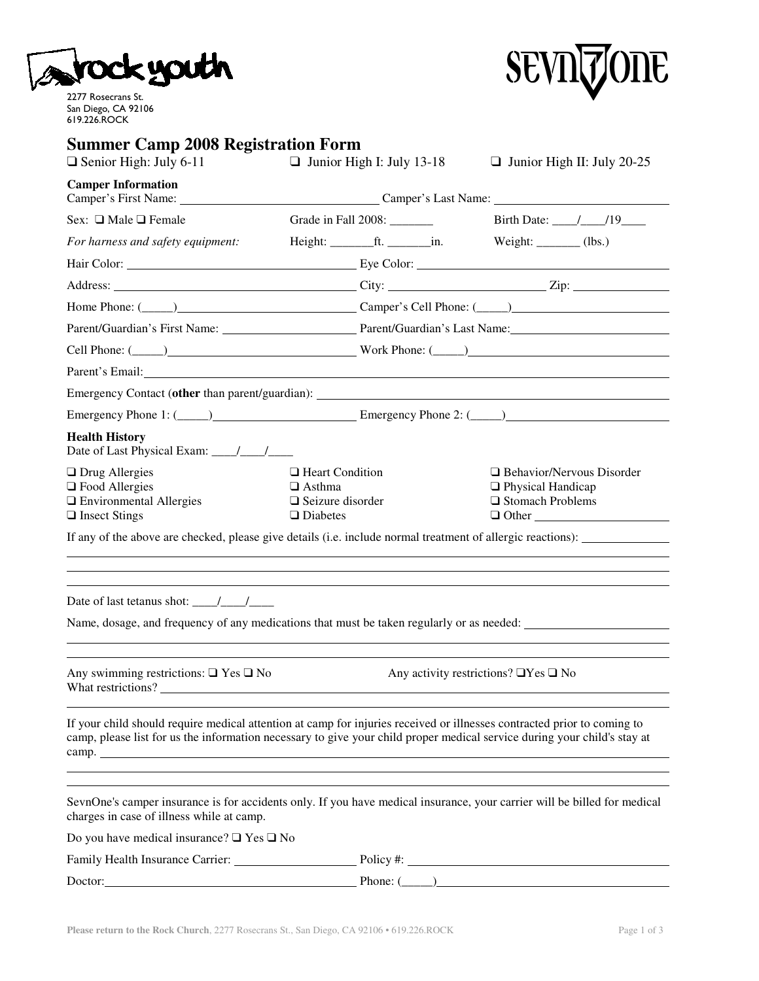

2277 Rosecrans St. San Diego, CA 92106 619.226.ROCK



## **Summer Camp 2008 Registration Form**

| шісі сашр<br>rood Indernation<br>$\Box$ Senior High: July 6-11                                                                                                                                                                                      |                                                                                       | $\Box$ Junior High I: July 13-18 | $\Box$ Junior High II: July 20-25                                                        |  |  |  |
|-----------------------------------------------------------------------------------------------------------------------------------------------------------------------------------------------------------------------------------------------------|---------------------------------------------------------------------------------------|----------------------------------|------------------------------------------------------------------------------------------|--|--|--|
| <b>Camper Information</b><br>Camper's First Name: Camper's Last Name: Camper's Last Name:                                                                                                                                                           |                                                                                       |                                  |                                                                                          |  |  |  |
| Sex: $\Box$ Male $\Box$ Female                                                                                                                                                                                                                      |                                                                                       | Grade in Fall 2008: _________    | Birth Date: ____/____/19_____                                                            |  |  |  |
| For harness and safety equipment:                                                                                                                                                                                                                   |                                                                                       | $Height:$ $ft.$ $min.$           | Weight: $\_\_\_\_\_\$ (lbs.)                                                             |  |  |  |
|                                                                                                                                                                                                                                                     |                                                                                       |                                  |                                                                                          |  |  |  |
|                                                                                                                                                                                                                                                     |                                                                                       |                                  |                                                                                          |  |  |  |
|                                                                                                                                                                                                                                                     |                                                                                       |                                  |                                                                                          |  |  |  |
| Parent/Guardian's First Name: Parent/Guardian's Last Name: Detroit of the Parent/Guardian's Last Name:                                                                                                                                              |                                                                                       |                                  |                                                                                          |  |  |  |
|                                                                                                                                                                                                                                                     |                                                                                       |                                  |                                                                                          |  |  |  |
| Parent's Email: New York Channels and Separate Section 2014                                                                                                                                                                                         |                                                                                       |                                  |                                                                                          |  |  |  |
|                                                                                                                                                                                                                                                     |                                                                                       |                                  |                                                                                          |  |  |  |
| Emergency Phone 1: (Change 2: (Change 2: (Change 2: (Change 2: (Change 2: (Change 2: (Change 2: (Change 2: (Change 2: (Change 2: (Change 2: (Change 2: (Change 2: (Change 2: (Change 2: (Change 2: (Change 2: (Change 2: (Chan                      |                                                                                       |                                  |                                                                                          |  |  |  |
| <b>Health History</b>                                                                                                                                                                                                                               |                                                                                       |                                  |                                                                                          |  |  |  |
| $\Box$ Drug Allergies<br>$\Box$ Food Allergies<br>$\Box$ Environmental Allergies<br>$\Box$ Insect Stings                                                                                                                                            | $\Box$ Heart Condition<br>$\Box$ Asthma<br>$\Box$ Seizure disorder<br>$\Box$ Diabetes |                                  | □ Behavior/Nervous Disorder<br>□ Physical Handicap<br>□ Stomach Problems<br>$\Box$ Other |  |  |  |
| If any of the above are checked, please give details (i.e. include normal treatment of allergic reactions):<br>,我们也不会有什么。""我们的人,我们也不会有什么?""我们的人,我们也不会有什么?""我们的人,我们也不会有什么?""我们的人,我们也不会有什么?""我们的人                                                     |                                                                                       |                                  |                                                                                          |  |  |  |
| Date of last tetanus shot: $\frac{\sqrt{2}}{2}$                                                                                                                                                                                                     |                                                                                       |                                  |                                                                                          |  |  |  |
| Name, dosage, and frequency of any medications that must be taken regularly or as needed:                                                                                                                                                           |                                                                                       |                                  |                                                                                          |  |  |  |
| Any swimming restrictions: $\Box$ Yes $\Box$ No<br>Any activity restrictions? $\Box$ Yes $\Box$ No<br>What restrictions?                                                                                                                            |                                                                                       |                                  |                                                                                          |  |  |  |
| If your child should require medical attention at camp for injuries received or illnesses contracted prior to coming to<br>camp, please list for us the information necessary to give your child proper medical service during your child's stay at |                                                                                       |                                  |                                                                                          |  |  |  |
| SevnOne's camper insurance is for accidents only. If you have medical insurance, your carrier will be billed for medical<br>charges in case of illness while at camp.                                                                               |                                                                                       |                                  |                                                                                          |  |  |  |
| Do you have medical insurance? $\Box$ Yes $\Box$ No                                                                                                                                                                                                 |                                                                                       |                                  |                                                                                          |  |  |  |
|                                                                                                                                                                                                                                                     |                                                                                       |                                  |                                                                                          |  |  |  |
| Doctor: <u>contract the contract of the contract of the contract of the contract of the contract of the contract of the contract of the contract of the contract of the contract of the contract of the contract of the contract</u>                |                                                                                       |                                  | Phone: $(\_\_)$                                                                          |  |  |  |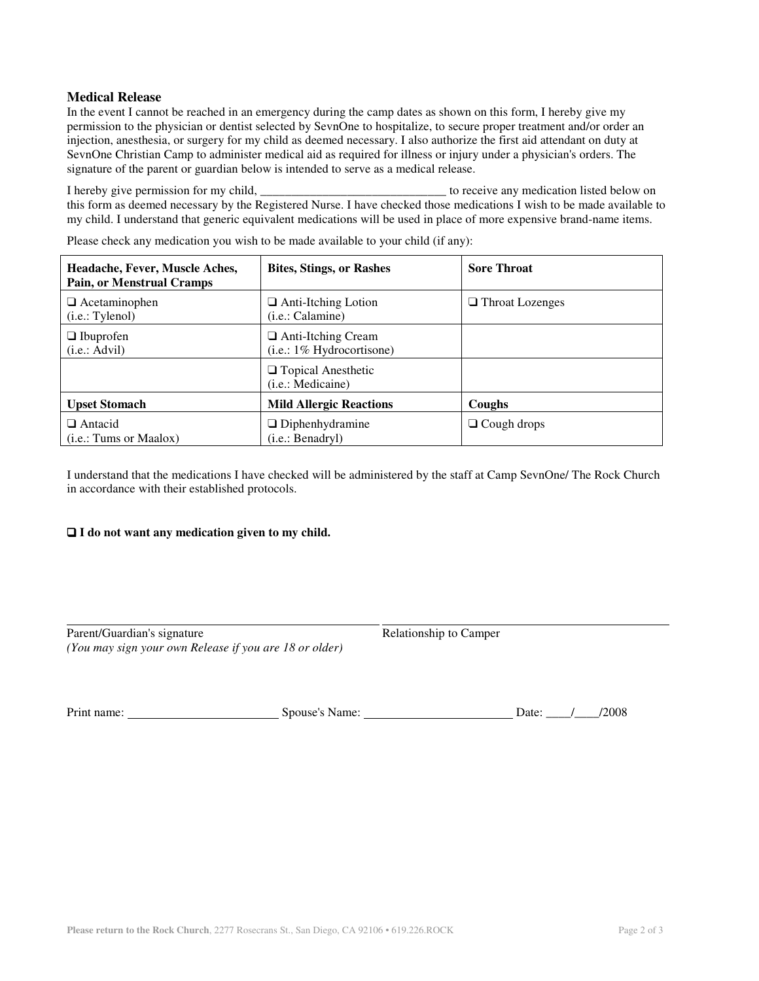## **Medical Release**

In the event I cannot be reached in an emergency during the camp dates as shown on this form, I hereby give my permission to the physician or dentist selected by SevnOne to hospitalize, to secure proper treatment and/or order an injection, anesthesia, or surgery for my child as deemed necessary. I also authorize the first aid attendant on duty at SevnOne Christian Camp to administer medical aid as required for illness or injury under a physician's orders. The signature of the parent or guardian below is intended to serve as a medical release.

I hereby give permission for my child, \_\_\_\_\_\_\_\_\_\_\_\_\_\_\_\_\_\_\_\_\_\_\_\_\_\_\_\_\_\_ to receive any medication listed below on this form as deemed necessary by the Registered Nurse. I have checked those medications I wish to be made available to my child. I understand that generic equivalent medications will be used in place of more expensive brand-name items.

**Headache, Fever, Muscle Aches, Pain, or Menstrual Cramps Bites, Stings, or Rashes Sore Throat** ❑ Acetaminophen (i.e.: Tylenol) ❑ Anti-Itching Lotion (i.e.: Calamine) ❑ Throat Lozenges ❑ Ibuprofen (i.e.: Advil) ❑ Anti-Itching Cream (i.e.: 1% Hydrocortisone) ❑ Topical Anesthetic (i.e.: Medicaine) Upset Stomach Mild Allergic Reactions Coughs ❑ Antacid (i.e.: Tums or Maalox) ❑ Diphenhydramine (i.e.: Benadryl) ❑ Cough drops

Please check any medication you wish to be made available to your child (if any):

I understand that the medications I have checked will be administered by the staff at Camp SevnOne/ The Rock Church in accordance with their established protocols.

## ❑ **I do not want any medication given to my child.**

| Parent/Guardian's signature                            |  |
|--------------------------------------------------------|--|
| (You may sign your own Release if you are 18 or older) |  |

Relationship to Camper

Print name: Spouse's Name: Date: \_\_\_\_/\_\_\_\_/2008